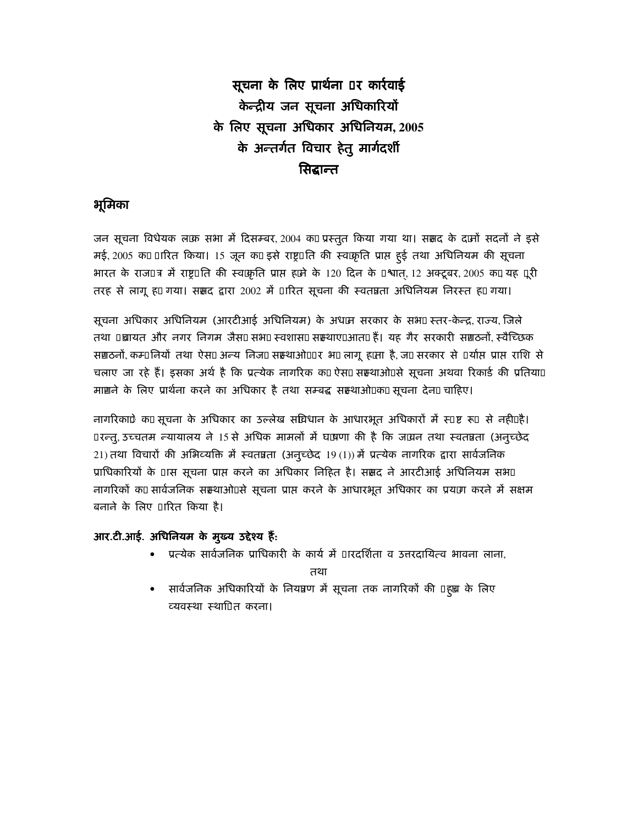# सूचना के लिए प्रार्थना र कार्रवाई केन्द्रीय जन सूचना अधिकारियों के लिए सूचना अधिकार अधिनियम, 2005 के अन्तर्गत विचार हेतू मार्गदर्शी सिद्धान्त

# भूमिका

जन सूचना विधेयक ल'क सभा में दिसम्बर, 2004 क' प्रस्तुत किया गया था। ससद के द'नों सदनों ने इसे मई, 2005 क' ारित किया। 15 जून क' इसे राष्ट्र ति की स्व2्कृति प्राप्त हुई तथा अधिनियम की सूचना भारत के राज त्र में राष्ट्र ति की स्व2्कृति प्राप्त ह'ने के 120 दिन के श्वात्, 12 अक्टूबर, 2005 क', यह ूरी तरह से लागू ह' गया। ससद द्वारा 2002 में ारित सूचना की स्वतन्नता अधिनियम निरस्त ह' गया।

सूचना अधिकार अधिनियम (आरटीआई अधिनियम) के अध2न सरकार के सभ2 स्तर-केन्द्र, राज्य, जिले तथा च्रायत और नगर निगम जैस2 सभ2 स्वशास2 सम्भाए. आत2 हैं। यह गैर सरकारी सग़ठनों, स्वैच्छिक सग़ठनों, कम नियों तथा ऐस2 अन्य निज2 सस्थाओ. र भ2 लागू ह'ता है, ज' सरकार से र्यास प्राप्त राशि से चलाए जा रहे हैं। इसका अर्थ है कि प्रत्येक नागरिक क' ऐस2 सस्थाओ. से सूचना अथवा रिकार्ड की प्रतिया. माग़ने के लिए प्रार्थना करने का अधिकार है तथा सम्बद्ध सस्थाओ.क' सूचना देन2चाहिए।

ं नागरिकाे क' सूचना के अधिकार का उल्लेख सविधान के आधारभूत अधिकारों में रू ष्ट रू ंसे नही. है। रन्तु, उच्चतम न्यायालय ने 15 से अधिक मामलों में घ'षणा की है कि ज2्यन तथा स्वतन्नता (अनुच्छेद 21) तथा विचारों की अभिव्यक्ति में स्वतन्नता (अनुच्छेद 19(1)) में प्रत्येक नागरिक द्वारा सार्वजनिक प्राधिकारियों के ास सूचना प्राप्त करने का अधिकार निहित है। ससद ने आरटीआई अधिनियम सभ2 नागरिकों क' सार्वजनिक सस्थाओं से सूचना प्राप्त करने के आधारभूत अधिकार का प्रय'ग करने में सक्षम बनाने के लिए ारित किया है।

# आर.टी.आई. अधिनियम के मुख्य उद्देश्य हैं:

• प्रत्येक सार्वजनिक प्राधिकारी के कार्य में ारदर्शिता व उत्तरदायित्व भावना लाना,

तथा

सार्वजनिक अधिकारियों के नियत्रण में सूचना तक नागरिकों की ह्च के लिए व्यवस्था स्थानि करना।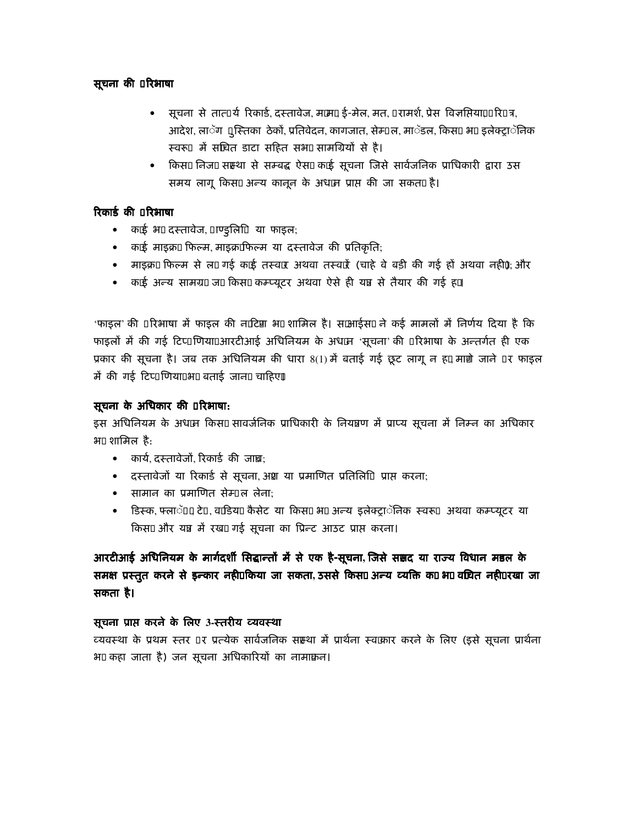# सूचना की रिभाषा

- सूचना से तात र्य रिकार्ड, दस्तावेज, म2म', ई-मेल, मत, रामर्श, प्रेस विज्ञप्तिया, रि त्र, आदेश, लाॅग ्स्तिका ठेकों, प्रतिवेदन, कागजात, सेम्ल, माॅडल, किस2 भ2 इलेक्ट्राॅनिक स्वरू में सचित डाटा सहित सभ2 सामग्रियों से है।
- किस2 निज2 सस्था से सम्बद्ध ऐस2 क'ई सूचना जिसे सार्वजनिक प्राधिकारी द्वारा उस समय लागू किस2 अन्य कानून के अध2न प्राप्त की जा सकत2 है।

# रिकार्ड की रिभाषा

- क'ई भ2 दस्तावेज, एड्लििया फाइल;
- क'ई माइक्र' फिल्म, माइक्र'फिल्म या दस्तावेज की प्रतिकृति:
- माइक्र' फिल्म से ल2 गई क'ई तस्व2 अथवा तस्व2ैं (चाहे वे बड़ी की गई हों अथवा नही); और
- क'ई अन्य सामग्र2 ज' किस2 कम्प्यूटर अथवा ऐसे ही यत्र से तैयार की गई ह'।

'फाइल' की रिभाषा में फाइल की न'टिग़ भ2 शामिल है। स2आईस2 ने कई मामलों में निर्णय दिया है कि फाइलों में की गई टिप् णिया. आरटीआई अधिनियम के अध2्न 'सूचना' की रिभाषा के अन्तर्गत ही एक प्रकार की सूचना है। जब तक अधिनियम की धारा 8(1)में बताई गई छूट लागू न ह',माग़े जाने र फाइल में की गई टिप् णिया. भ2 बताई जान2 चाहिए।

# सूचना के अधिकार की रिभाषा:

इस अधिनियम के अध2्न किस2सावर्जनिक प्राधिकारी के नियत्रण में प्राप्य सूचना में निम्न का अधिकार भ2 शामिल है:

- कार्य, दस्तावेजों, रिकार्ड की जाच़;
- दस्तावेजों या रिकार्ड से सूचना, अश या प्रमाणित प्रतिलिि प्राप्त करना;
- सामान का प्रमाणित सेम ल लेना:
- डिस्क, फ्लाॅ 2 टे , व2डिय' कैसेट या किस2 भ2 अन्य इलेक्ट्राॅनिक स्वरू अथवा कम्प्यूटर या किस2 और यत्र में रख2 गई सूचना का प्रिन्ट आउट प्राप्त करना।

आरटीआई अधिनियम के मार्गदर्शी सिद्धान्तों में से एक है-सूचना, जिसे ससद या राज्य विधान मडल के समक्ष प्रस्तुत करने से इन्कार नही. किया जा सकता, उससे किस2 अन्य व्यक्ति क' भ2 वचित नही. रखा जा सकता है।

# सूचना प्राप्त करने के लिए 3-स्तरीय व्यवस्था

व्यवस्था के प्रथम स्तर ) र प्रत्येक सार्वजनिक सस्था में प्रार्थना स्व2्कार करने के लिए (इसे सूचना प्रार्थना भ2 कहा जाता है) जन सूचना अधिकारियों का नामाक़न।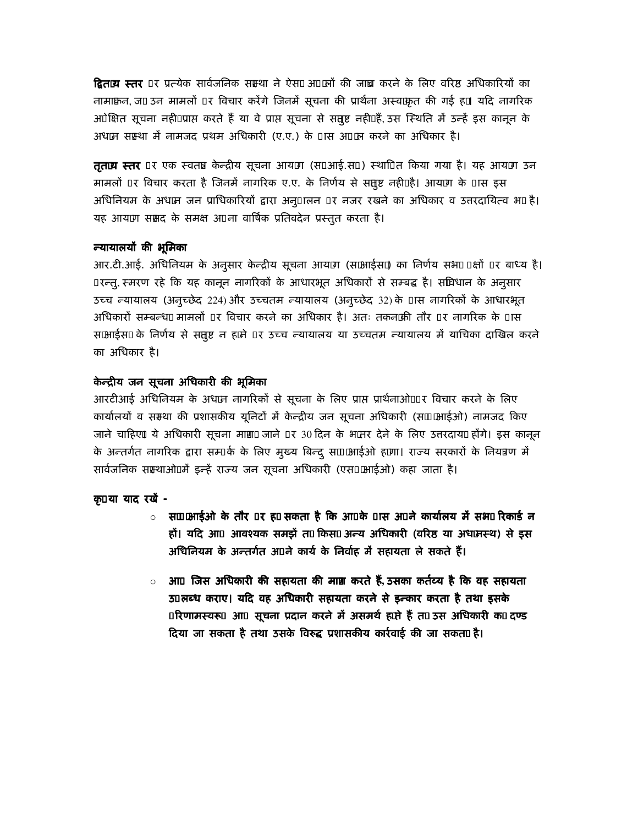**द्वित2्य स्तर** र प्रत्येक सार्वजनिक सस्था ने ऐस2अ 2्लों की जाच्र करने के लिए वरिष्ठ अधिकारियों का नामाक़न, ज' उन मामलों र विचार करेंगे जिनमें सूचना की प्रार्थना अस्वक्षत की गई ह'। यदि नागरिक अेक्षित सूचना नही. प्राप्त करते हैं या वे प्राप्त सूचना से सतुष्ट नही. हैं, उस स्थिति में उन्हें इस कानून के अध2न सस्था में नामजद प्रथम अधिकारी (ए.ए.) के ास अ 2न करने का अधिकार है।

**तृत2्य स्तर** र एक स्वतंत्र केन्द्रीय सूचना आय'ग (स2आई.स2) स्था^त किया गया है। यह आय'ग उन मामलों र विचार करता है जिनमें नागरिक ए.ए. के निर्णय से सतुष्ट नही. है। आय'ग के ास इस अधिनियम के अध2्न जन प्राधिकारियों द्वारा अन् ।लन र नजर रखने का अधिकार व उत्तरदायित्व भ2 है। यह आय'ग ससद के समक्ष अ ना वार्षिक प्रतिवदेन प्रस्तुत करता है।

#### न्यायालयों की भूमिका

आर.टी.आई. अधिनियम के अनुसार केन्द्रीय सूचना आय'ग (स2आईस2) का निर्णय सभ2 क्षों र बाध्य है। रन्तु, स्मरण रहे कि यह कानून नागरिकों के आधारभूत अधिकारों से सम्बद्ध है। सविधान के अनुसार उच्च न्यायालय (अनुच्छेद 224)और उच्चतम न्यायालय (अनुच्छेद 32)के ास नागरिकों के आधारभूत अधिकारों सम्बन्ध2 मामलों र विचार करने का अधिकार है। अतः तकन2की तौर र नागरिक के ास स2आईस2 के निर्णय से सतुष्ट न ह'ने र उच्च न्यायालय या उच्चतम न्यायालय में याचिका दाखिल करने का अधिकार है।

## केन्द्रीय जन सूचना अधिकारी की भूमिका

आरटीआई अधिनियम के अध2्न नागरिकों से सूचना के लिए प्राप्त प्रार्थनाओ. र विचार करने के लिए कार्यालयों व सस्था की प्रशासकीय यूनिटों में केन्द्रीय जन सूचना अधिकारी (स2 आईओ) नामजद किए जाने चाहिए। ये अधिकारी सूचना माग़2 जाने ं र 30 दिन के भ2्तर देने के लिए उत्तरदाय2 होंगे। इस कानून के अन्तर्गत नागरिक द्वारा सम् के के लिए मुख्य बिन्द् स2 2्आईओ ह'गा। राज्य सरकारों के नियत्रण में सार्वजनिक सस्थाओ. में इन्हें राज्य जन सूचना अधिकारी (एस 2आईओ) कहा जाता है।

# कृ या याद रखें -

- स2 2आईओ के तौर रह' सकता है कि आ के ास अ ने कार्यालय में सभ2 रिकार्ड न हों। यदि आ आवश्यक समझें त' किस2अन्य अधिकारी (वरिष्ठ या अध2नस्थ) से इस अधिनियम के अन्तर्गत अ ने कार्य के निर्वाह में सहायता ले सकते हैं।
- आ जिस अधिकारी की सहायता की माग करते हैं. उसका कर्तव्य है कि वह सहायता  $\circ$ ठ लब्ध कराए। यदि वह अधिकारी सहायता करने से इन्कार करता है तथा इसके रिणामस्वरू आ सूचना प्रदान करने में असमर्थ ह'ते हैं त' उस अधिकारी क' दण्ड दिया जा सकता है तथा उसके विरुद्ध प्रशासकीय कार्रवाई की जा सकत2 है।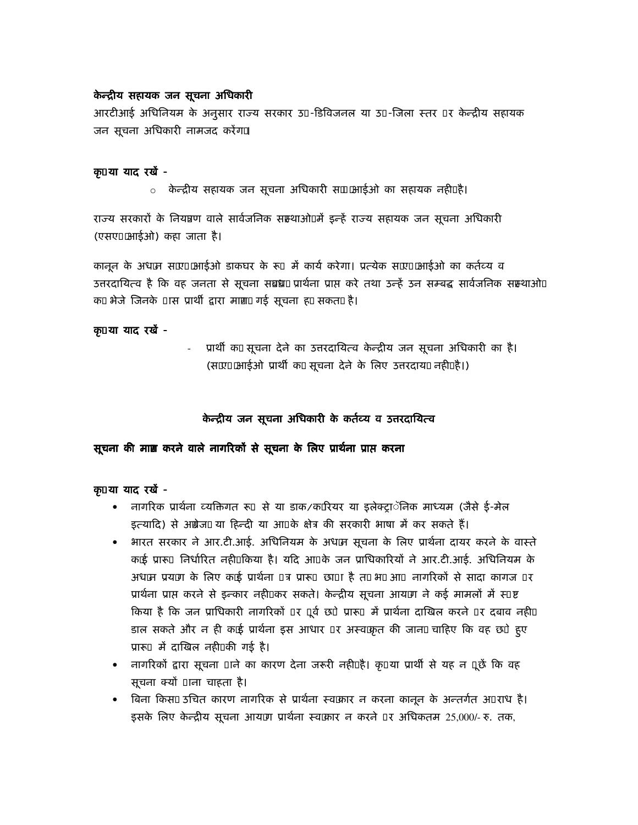#### केन्द्रीय सहायक जन सूचना अधिकारी

आरटीआई अधिनियम के अनुसार राज्य सरकार उ -डिविजनल या उ -जिला स्तर र केन्द्रीय सहायक जन सूचना अधिकारी नामजद करेंग2

### कृया याद रखें -

<u>ं</u> केन्द्रीय सहायक जन सूचना अधिकारी स2 आईओ का सहायक नही. है।

राज्य सरकारों के नियत्रण वाले सार्वजनिक सस्थाओ. में इन्हें राज्य सहायक जन सूचना अधिकारी (एसए आईओ) कहा जाता है।

कानून के अध2न स2र 2आईओ डाकघर के रूज ें कार्य करेगा। प्रत्येक स2र 2आईओ का कर्तव्य व उत्तरदायित्व है कि वह जनता से सूचना सब्रध2 प्रार्थना प्राप्त करे तथा उन्हें उन सम्बद्ध सार्वजनिक सम्ञ्थाओ. क' भेजे जिनके ास प्रार्थी द्वारा माग़2गई सूचना ह' सकत2 है।

#### कृ या याद रखें -

- प्रार्थी क' सूचना देने का उत्तरदायित्व केन्द्रीय जन सूचना अधिकारी का है। (स27 2आईओ प्रार्थी क' सूचना देने के लिए उत्तरदाय2 नहीं. है।)

# केन्द्रीय जन सूचना अधिकारी के कर्तव्य व उत्तरदायित्व

# सूचना की माग़ करने वाले नागरिकों से सूचना के लिए प्रार्थना प्राप्त करना

#### कृ या याद रखें -

- नागरिक प्रार्थना व्यक्तिगत रू से या डाक/क'रियर या इलेक्ट्राॅनिक माध्यम (जैसे ई-मेल इत्यादि) से अंग्रेज2 या हिन्दी या आ के क्षेत्र की सरकारी भाषा में कर सकते हैं।
- भारत सरकार ने आर.टी.आई. अधिनियम के अध2ा सूचना के लिए प्रार्थना दायर करने के वास्त क'ई प्रारू निर्धारित नहीं. किया है। यदि आ के जन प्राधिकारियों ने आर.टी.आई. अधिनियम के अध2न प्रय'ग के लिए क'ई प्रार्थना त्र प्रारू छा ा है त' भ2 आ नागरिकों से सादा कागज र प्रार्थना प्राप्त करने से इन्कार नही. कर सकते। केन्द्रीय सूचना आय'ग ने कई मामलों में स ष्ट किया है कि जन प्राधिकारी नागरिकों र ूर्व छे प्रारू में प्रार्थना दाखिल करने र दबाव नही. डाल सकते और न ही क'ई प्रार्थना इस आधार र अस्व कृत की जान2 चाहिए कि वह छे हुए प्रारू में दाखिल नही की गई है।
- नागरिकों द्वारा सूचना ाने का कारण देना जरूरी नही. है। कृ या प्रार्थी से यह न ूछें कि वह सूचना क्यों ाना चाहता है।
- बिना किस2 उचित कारण नागरिक से प्रार्थना स्व2्कार न करना कानून के अन्तर्गत अ राध है। इसके लिए केन्द्रीय सूचना आय'ग प्रार्थना स्व2्कार न करने र अधिकतम 25,000/- रु. तक,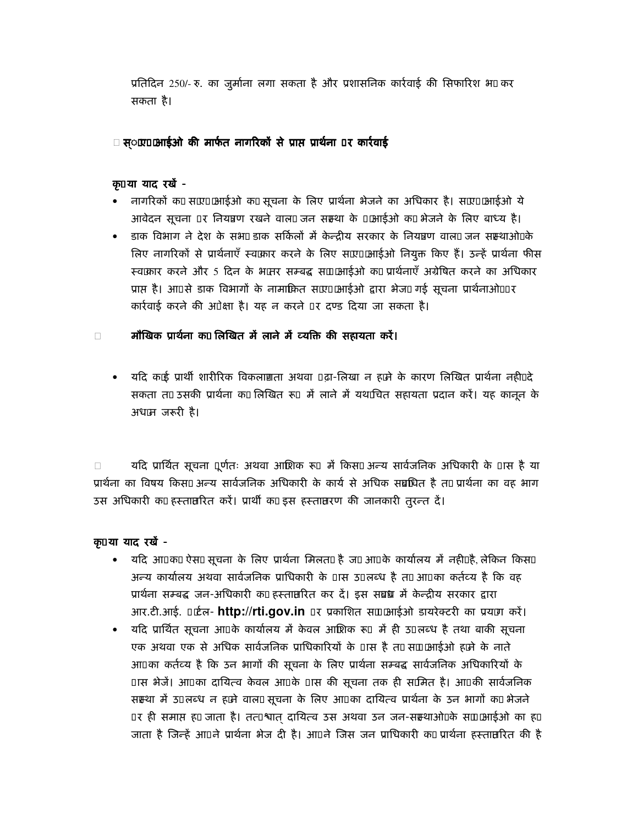प्रतिदिन 250/- रु. का जुर्माना लगा सकता है और प्रशासनिक कार्रवाई की सिफारिश भ2कर सकता है।

# स््र आईओ की मार्फत नागरिकों से प्राप्त प्रार्थना र कार्रवाई

#### कृया याद रखें -

- ) नागरिकों क' स2र 2आईओ क' सूचना के लिए प्रार्थना भेजने का अधिकार है। स2र 2आईओ ये आवेदन सूचना) र नियत्रण रखने वाल2 जन संस्था के 2आईओ क' भेजने के लिए बाध्य है।
- डाक विभाग ने देश के सभ2डाक सर्किलों में केन्द्रीय सरकार के नियत्रण वाल2जन सम्ञ्थाओ.के लिए नागरिकों से प्रार्थनाएँ स्व2कार करने के लिए स2ए 2आईओ नियुक्त किए हैं। उन्हें प्रार्थना फीस स्व2कार करने और 5 दिन के भ2तर सम्बद्ध स2 2आईओ क' प्रार्थनाएँ अग्रेषित करने का अधिकार प्राप्त है। आ से डाक विभागों के नामाकित स2ए 2आईओ द्वारा भेज2 गई सूचना प्रार्थनाओ. र कार्रवाई करने की अेक्षा है। यह न करने र दण्ड दिया जा सकता है।

# मौखिक प्रार्थना क' लिखित में लाने में व्यक्ति की सहायता करें।

• यदि क'ई प्रार्थी शारीरिक विकलाग़ता अथवा ढ़ा-लिखा न ह'ने के कारण लिखित प्रार्थना नही. दे सकता त' उसकी प्रार्थना क' लिखित रू में लाने में यथ'चित सहायता प्रदान करें। यह कानून के अध $2\pi$  जरूरी है।

यदि प्रार्थित सूचना ूर्णतः अथवा आशिक रूप में किस2अन्य सार्वजनिक अधिकारी के ास है या प्रार्थना का विषय किस2अन्य सार्वजनिक अधिकारी के कार्य से अधिक सब्रधित है त' प्रार्थना का वह भाग उस अधिकारी क' हस्तातरित करें। प्रार्थी क' इस हस्तातरण की जानकारी तुरन्त दें।

#### क्र या याद रखें -

- यदि आ क' ऐस2 सूचना के लिए प्रार्थना मिलत2 है ज' आ के कार्यालय में नही. है, लेकिन किस2 अन्य कार्यालय अथवा सार्वजनिक प्राधिकारी के ास उ लब्ध है त' आ का कर्तव्य है कि वह प्रार्थना सम्बद्ध जन-अधिकारी क' हस्तातरित कर दें। इस सब्रध में केन्द्रीय सरकार द्वारा आर.टी.आई. 'र्टल- http://rti.gov.in र प्रकाशित स2 2आईओ डायरेक्टरी का प्रय'ग करें।
- यदि प्रार्थित सूचना आ के कार्यालय में केवल आशिक रू में ही उ लब्ध है तथा बाकी सूचना एक अथवा एक से अधिक सार्वजनिक प्राधिकारियों के ास है त' स2 2आईओ ह'ने के नाते आ का कर्तव्य है कि उन भागों की सूचना के लिए प्रार्थना सम्बद्ध सार्वजनिक अधिकारियों के ास भेजें। आ का दायित्व केवल आ के ास की सूचना तक ही स2मित है। आ की सार्वजनिक सऱ्था में उ लब्ध न ह'ने वाल2 सूचना के लिए आ का दायित्व प्रार्थना के उन भागों क' भेजने र ही समाप्त ह' जाता है। तत श्वात दायित्व उस अथवा उन जन-सस्थाओ. के स2 2आईओ का ह' जाता है जिन्हें आ ने प्रार्थना भेज दी है। आ ने जिस जन प्राधिकारी क' प्रार्थना हस्तातरित की है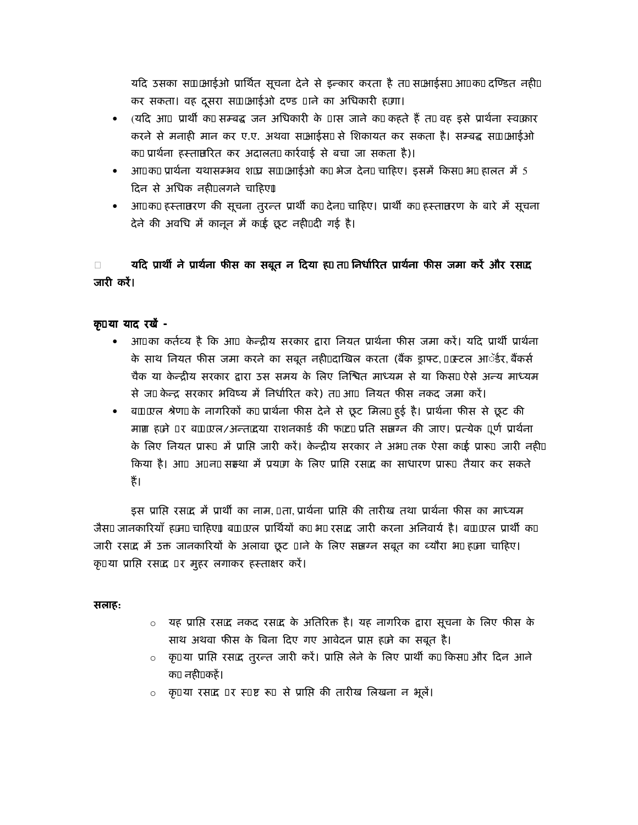यदि उसका स2 आईओ प्रार्थित सूचना देने से इन्कार करता है त' सआईस2आ क' दण्डित नही. कर सकता। वह दूसरा स2 2आईओ दण्ड लि का अधिकारी ह'गा।

- (यदि आ) प्रार्थी क' सम्बद्ध जन अधिकारी के ास जाने क' कहते हैं त' वह इसे प्रार्थना स्व2्कार करने से मनाही मान कर ए.ए. अथवा स2आईस2 से शिकायत कर सकता है। सम्बद्ध स2 2आईओ क' प्रार्थना हस्तातरित कर अदालत2 कार्रवाई से बचा जा सकता है)।
- आ क' प्रार्थना यथासम्भव श2्य स2 2आईओ क' भेज देन2 चाहिए। इसमें किस2 भ2 हालत में 5 दिन से अधिक नही. लगने चाहिए।
- आ क' हस्तातरण की सूचना तुरन्त प्रार्थी क' देन2 चाहिए। प्रार्थी क' हस्तातरण के बारे में सूचना देने की अवधि में कानून में क'ई छूट नही. दी गई है।

# यदि प्रार्थी ने प्रार्थना फीस का सबूत न दिया ह' त' निर्धारित प्रार्थना फीस जमा करें और रस $\mathbf{z}$ जारी करें।

#### क या याद रखें -

- आ का कर्तव्य है कि आक्रिक्ट्रीय सरकार द्वारा नियत प्रार्थना फीस जमा करें। यदि प्रार्थी प्रार्थना के साथ नियत फीस जमा करने का सबूत नहीं. दाखिल करता (बैंक ड्राफ्ट, 'स्टल आॅर्डर, बैंकर्स चैक या केन्द्रीय सरकार द्वारा उस समय के लिए निश्वित माध्यम से या किस2ऐसे अन्य माध्यम से ज' केन्द्र सरकार भविष्य में निर्धारित करे) त' आजियत फीस नकद जमा करें।
- ब2 2एल श्रेण2 के नागरिकों क' प्रार्थना फीस देने से छूट मिल2 हुई है। प्रार्थना फीस से छूट की माग़ ह'ने र ब2 2रल/अन्त'दया राशनकार्ड की फ'ट' प्रति सलग्न की जाए। प्रत्येक ूर्ण प्रार्थना के लिए नियत प्रारू में प्राप्ति जारी करें। केन्द्रीय सरकार ने अभ2 तक ऐसा क'ई प्रारू जारी नही. किया है। आ अ न2 सस्था में प्रय'ग के लिए प्राप्ति रस2द का साधारण प्रारू तैयार कर सकते हैं।

इस प्राप्ति रस2द में प्रार्थी का नाम, ता, प्रार्थना प्राप्ति की तारीख तथा प्रार्थना फीस का माध्यम जैस2 जानकारियाँ ह'न2 चाहिए। ब2 2्राल प्रार्थियों क' भ2 रस2्द जारी करना अनिवार्य है। ब2 2ाल प्रार्थी क' जारी रस2द में उक्त जानकारियों के अलावा छूट ाने के लिए सलग्न सबूत का ब्यौरा भ2 ह'ना चाहिए। कृ या प्राप्ति रस2द र मुहर लगाकर हस्ताक्षर करें।

#### सलाह:

- 0 यह प्राप्ति रस2द नकद रस2द के अतिरिक्त है। यह नागरिक द्वारा सूचना के लिए फीस के साथ अथवा फीस के बिना दिए गए आवेदन प्राप्त ह'ने का सबूत है।
- कृ या प्राप्ति रस2द तुरन्त जारी करें। प्राप्ति लेने के लिए प्रार्थी क' किस2और दिन आने क' नही. कहें।
- कृया रस2द र स् ष्ट रूसे प्राप्ति की तारीख लिखना न भूलें।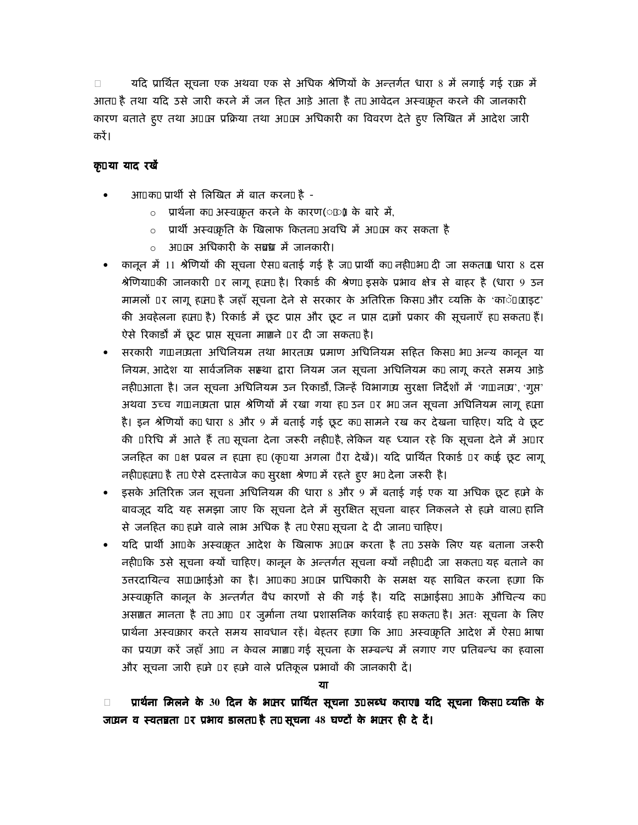यदि प्रार्थित सूचना एक अथवा एक से अधिक श्रेणियों के अन्तर्गत धारा 8 में लगाई गई र'क में आत2 है तथा यदि उसे जारी करने में जन हित आड़े आता है त' आवेदन अस्व2कृत करने की जानकारी कारण बताते हुए तथा अ 2न प्रक्रिया तथा अ 2न अधिकारी का विवरण देते हुए लिखित में आदेश जारी करें।

# कृया याद रखें

- आ क' प्रार्थी से लिखित में बात करन2 है
	- o प्रार्थना क' अस्व2कृत करने के कारण(ं) के बारे में,
	- प्रार्थी अस्व2कृति के खिलाफ कितन2 अवधि में अ 2न कर सकता है
	- अ 2न अधिकारी के सब्रध्न में जानकारी।
- कानून में 11 श्रेणियों की सूचना ऐस2बताई गई है ज' प्रार्थी क' नही. भ2दी जा सकत2 धारा 8 दस श्रेणिया. की जानकारी र लागू ह'त2 है। रिकार्ड की श्रेण2 इसके प्रभाव क्षेत्र से बाहर है (धारा 9 उन मामलों र लागू ह'त2 है जहाँ सूचना देने से सरकार के अतिरिक्त किस2 और व्यक्ति के 'काॅ 2ाइट' की अवहेलना ह'त2 है) रिकार्ड में छूट प्राप्त और छूट न प्राप्त द'नों प्रकार की सूचनाएँ ह' सकत2 हैं। ऐसे रिकार्डों में छूट प्राप्त सूचना माग़ने र दी जा सकत2 है।
- सरकारी ग' न2्यता अधिनियम तथा भारत2्य प्रमाण अधिनियम सहित किस2 भ2 अन्य कानून या नियम, आदेश या सार्वजनिक सस्था द्वारा नियम जन सूचना अधिनियम क' लागू करते समय आड़े नही. आता है। जन सूचना अधिनियम उन रिकार्डों, जिन्हें विभाग2्य सुरक्षा निर्देशों में 'ग' न2्य', 'गूस' अथवा उच्च ग' न2यता प्राप्त श्रेणियों में रखा गया ह' उन र भ2 जन सूचना अधिनियम लागू ह'ता है। इन श्रेणियों क' धारा 8 और 9 में बताई गई छूट क' सामने रख कर देखना चाहिए। यदि वे छूट की रिधि में आते हैं त' सूचना देना जरूरी नही. है, लेकिन यह ध्यान रहे कि सूचना देने में अ ार जनहित का क्ष प्रबल न ह'ता ह' (कृ या अगला ैरा देखें)। यदि प्रार्थित रिकार्ड र क'ई छूट लागू नही. ह'त2 है त' ऐसे दस्तावेज क' सुरक्षा श्रेण2 में रहते हुए भ2 देना जरूरी है।
- इसके अतिरिक्त जन सूचना अधिनियम की धारा 8 और 9 में बताई गई एक या अधिक छूट ह'ने के बावजूद यदि यह समझा जाए कि सूचना देने में सुरक्षित सूचना बाहर निकलने से ह'ने वाल2 हानि से जनहित क' ह'ने वाले लाभ अधिक है त' ऐस2 सूचना दे दी जान2 चाहिए।
- यदि प्रार्थी आ के अस्व2कृत आदेश के खिलाफ अ 2न करता है त' उसके लिए यह बताना जरूरी नही. कि उसे सूचना क्यों चाहिए। कानून के अन्तर्गत सूचना क्यों नही. दी जा सकत2 यह बताने का उत्तरदायित्व स2 आईओ का है। आ क' अ 2न प्राधिकारी के समक्ष यह साबित करना ह'गा कि अस्व2कृति कानून के अन्तर्गत वैध कारणों से की गई है। यदि स2आईस2 आ के औचित्य क' असग़त मानता है त' आ र जुर्माना तथा प्रशासनिक कार्रवाई ह' सकत2 है। अतः सूचना के लिए प्रार्थना अस्व2कार करते समय सावधान रहें। बेहतर ह'गा कि आ अस्व2कृति आदेश में ऐस2 भाषा का प्रय'ग करें जहाँ आन्न केवल माग़2 गई सूचना के सम्बन्ध में लगाए गए प्रतिबन्ध का हवाला और सूचना जारी ह'ने र ह'ने वाले प्रतिकूल प्रभावों की जानकारी दें।

प्रार्थना मिलने के 30 दिन के भ2तर प्रार्थित सूचना उ लब्ध कराए। यदि सूचना किस2 व्यक्ति के ज2वन व स्वतन्नता र प्रभाव डालत2 है त' सूचना 48 घण्टों के भ2तर ही दे दें।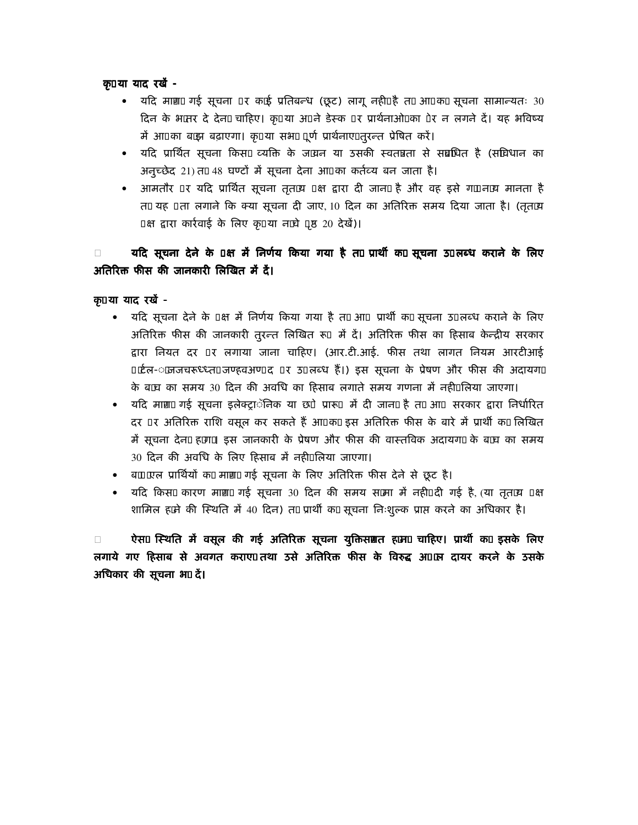क़ या याद रखें -

- यदि माग़2 गई सूचना र क'ई प्रतिबन्ध (छूट) लागू नही. है त' आ क' सूचना सामान्यतः 30 दिन के भ2नर दे देन2 चाहिए। कृ या अ ने डेस्क र प्रार्थनाओ. का रेर न लगने दें। यह भविष्य में आ का ब'झ बढ़ाएगा। कृ या सभ2 ूर्ण प्रार्थनाए तुरन्त प्रेषित करें।
- यदि प्रार्थित सूचना किस2 व्यक्ति के ज2्रान या उसकी स्वतन्नता से सब्रधित है (सविधान का अनुच्छेद 21)त' 48 घण्टों में सूचना देना आ का कर्तव्य बन जाता है।
- आमतौर र यदि प्रार्थित सूचना तृत2्य क्ष द्वारा दी जान2 है और वह इसे ग' न2्य मानता है त' यह ता लगाने कि क्या सूचना दी जाए, 10 दिन का अतिरिक्त समय दिया जाता है। (तृत2्य क्ष द्वारा कार्रवाई के लिए कृ या न2वे ,ष्ठ 20 देखें)।

यदि सूचना देने के क्ष में निर्णय किया गया है त' प्रार्थी क' सूचना उ लब्ध कराने के लिए अतिरिक्त फीस की जानकारी लिखित में दें।

क़ या याद रखें -

- यदि सूचना देने के क्ष में निर्णय किया गया है त' आ प्रार्थी क' सूचना उ लब्ध कराने के लिए अतिरिक्त फीस की जानकारी तुरन्त लिखित रूजिं दें। अतिरिक्त फीस का हिसाब केन्द्रीय सरकार द्वारा नियत दर र लगाया जाना चाहिए। (आर.टी.आई. फीस तथा लागत नियम आरटीआई 'र्टल- 2जजचरूध्ध्त जण्हवअण द र उ लब्ध हैं।) इस सूचना के प्रेषण और फीस की अदायग2 के ब2व का समय 30 दिन की अवधि का हिसाब लगाते समय गणना में नही. लिया जाएगा।
- यदि माग़2 गई सूचना इलेक्ट्राॅनिक या छ ेप्रारू में दी जान2 है त' आ सरकार द्वारा निर्धारित दर र अतिरिक्त राशि वसूल कर सकते हैं आ क' इस अतिरिक्त फीस के बारे में प्रार्थी क' लिखित में सूचना देन2 ह'ग2 इस जानकारी के प्रेषण और फीस की वास्तविक अदायग2 के ब2व का समय 30 दिन की अवधि के लिए हिसाब में नही. लिया जाएगा।
- ब2 2रल प्रार्थियों क' माग़2 गई सूचना के लिए अतिरिक्त फीस देने से छूट है।
- यदि किस2 कारण माग़2 गई सूचना 30 दिन की समय स2मा में नही. दी गई है, (या तृत2्य क्ष शामिल ह'ने की स्थिति में 40 दिन) त' प्रार्थी क' सूचना निःशुल्क प्राप्त करने का अधिकार है।

ऐस2 स्थिति में वसूल की गई अतिरिक्त सूचना युक्तिसग़त ह'न2 चाहिए। प्रार्थी क' इसके लिए लगाये गए हिसाब से अवगत कराए. तथा उसे अतिरिक्त फीस के विरुद्ध अ 2न दायर करने के उसके अधिकार की सूचना भ2दें।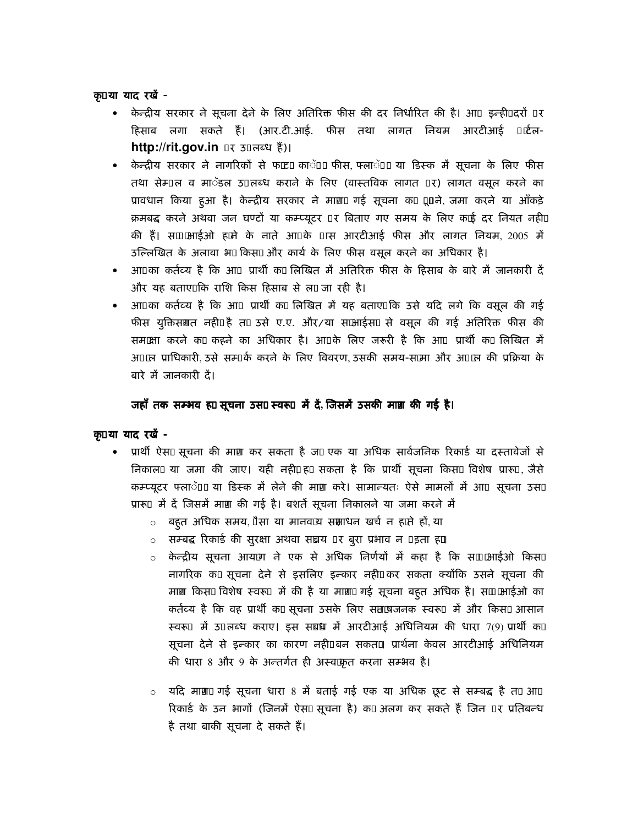कृया याद रखें -

- केन्द्रीय सरकार ने सूचना देने के लिए अतिरिक्त फीस की दर निर्धारित की है। आ इन्ही दरों र हिसाब लगा सकते हैं। (आर.टी.आई. फीस तथा लागत नियम आरटीआई 'ਟੈलhttp://rit.gov.in र ऊलब्ध हैं)।
- केन्द्रीय सरकार ने नागरिकों से फ'ट' काॅ 2 फीस, फ्लाॅ 2 या डिस्क में सूचना के लिए फीस तथा सेम् ल व माॅंडल उ लब्ध कराने के लिए (वास्तविक लागत र) लागत वसूल करने का प्रावधान किया हुआ है। केन्द्रीय सरकार ने माग़2 गई सूचना क' xxने, जमा करने या आँकड़े क्रमबद्ध करने अथवा जन घण्टों या कम्प्यूटर र बिताए गए समय के लिए क'ई दर नियत नही. की हैं। स2 आईओ ह'ने के नाते आ के ास आरटीआई फीस और लागत नियम, 2005 में उल्लिखित के अलावा भ2 किस2 और कार्य के लिए फीस वसूल करने का अधिकार है।
- आ का कर्तव्य है कि आप्रार्थी क' लिखित में अतिरिक्त फीस के हिसाब के बारे में जानकारी दें और यह बताए. कि राशि किस हिसाब से ल2 जा रही है।
- आ का कर्तव्य है कि आजप्रार्थी क' लिखित में यह बताए. कि उसे यदि लगे कि वसूल की गई फीस युक्तिसग़त नही. है त' उसे ए.ए. और/या स2आईस2 से वसूल की गई अतिरिक्त फीस की सम2क्षा करने क' कहने का अधिकार है। आ के लिए जरूरी है कि आप ्रार्थी क' लिखित में अ 2न प्राधिकारी उसे सम् के करने के लिए विवरण उसकी समय-स2मा और अ 2न की प्रक्रिया के बारे में जातकारी दें।

# जहाँ तक सम्भव ह' सूचना उस2 स्वरू) में दें, जिसमें उसकी माग़ की गई है।

#### क या याद रखें -

- प्रार्थी ऐस2 सूचना की माग़ कर सकता है ज' एक या अधिक सार्वजनिक रिकार्ड या दस्तावेजों से निकाल2 या जमा की जाए। यही नही, ह' सकता है कि प्रार्थी सूचना किस2 विशेष प्रारू , जैसे कम्प्यूटर फ्लाॅ 2 या डिस्क में लेने की माग़ करे। सामान्यतः ऐसे मामलों में आव्सूचना उस2 प्रारू में दें जिसमें माग़ की गई है। बशर्ते सूचना निकालने या जमा करने में
	- बहुत अधिक समय, "सा या मानव2्य सप्ताधन खर्च न ह'ते हों, या
	- ं सम्बद्ध रिकार्ड की सुरक्षा अथवा सच्चय र बुरा प्रभाव न इता ह'।
	- 0 केन्द्रीय सूचना आय'ग ने एक से अधिक निर्णयों में कहा है कि स2 2आईओ किस2 नागरिक क' सूचना देने से इसलिए इन्कार नही. कर सकता क्योंकि उसने सूचना की माग़ किस2 विशेष स्वरू में की है या माग़2 गई सूचना बहूत अधिक है। स2 2आईओ का कर्तव्य है कि वह प्रार्थी क' सूचना उसके लिए सत'षजनक स्वरू में और किस2 आसान स्वरू में 5 लब्ध कराए। इस सब्रध में आरटीआई अधिनियम की धारा 7(9) प्रार्थी क' सूचना देने से इन्कार का कारण नही. बन सकत2 प्रार्थना केवल आरटीआई अधिनियम की धारा 8 और 9 के अन्तर्गत ही अस्वक्कृत करना सम्भव है।
	- यदि माग़2 गई सूचना धारा 8 में बताई गई एक या अधिक छूट से सम्बद्ध है त' आ  $\circ$ रिकार्ड के उन भागों (जिनमें ऐस2 सूचना है) क' अलग कर सकते हैं जिन )र प्रतिबन्ध है तथा बाकी सूचना दे सकते हैं।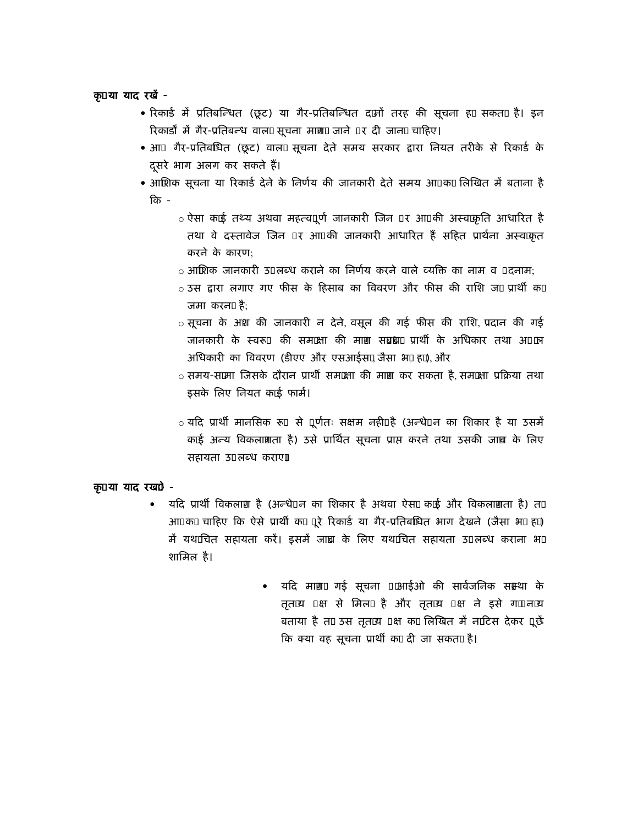## कृया याद रखें -

- रिकार्ड में प्रतिबन्धित (छूट) या गैर-प्रतिबन्धित द'नों तरह की सूचना ह' सकत2 है। इन रिकार्डों में गैर-प्रतिबन्ध वाल2 सूचना माग़2 जाने र दी जान2 चाहिए।
- आ गैर-प्रतिबधित (छूट) वाल2 सूचना देते समय सरकार द्वारा नियत तरीके से रिकार्ड के दूसरे भाग अलग कर सकते हैं।
- आशिक सूचना या रिकार्ड देने के निर्णय की जानकारी देते समय आ क' लिखित में बताना है कि -
	- <u>ं</u> ऐसा क'ई तथ्य अथवा महत्व ूर्ण जानकारी जिन ) र आ की अस्व2्कृति आधारित है तथा वे दस्तावेज जिन र आ की जानकारी आधारित हैं सहित प्रार्थना अस्वक्कत करने के कारण:
	- o आशिक जानकारी उ<sup>ं</sup>लब्ध कराने का निर्णय करने वाले व्यक्ति का नाम व<sup>ं</sup>दनाम:
	- ं उस द्वारा लगाए गए फीस के हिसाब का विवरण और फीस की राशि ज' प्रार्थी क' जमा करन2 है:
	- ं सूचना के अश की जानकारी न देने, वसूल की गई फीस की राशि, प्रदान की गई जानकारी के स्वरूप की समक्ष्मा की माग़ सब्रध2 प्रार्थी के अधिकार तथा अ क्ष अधिकारी का विवरण (डीएए और एसआईस2 जैसा भ2 ह'), और
	- ं समय-स2मा जिसके दौरान प्रार्थी सम2ता की माग़ कर सकता है. सम2ता प्रक्रिया तथा इसके लिए नियत क'ई फार्म।
	- ं यदि प्रार्थी मानसिक रूप से पूर्णतः सक्षम नही. है (अन्धे न का शिकार है या उसमें क'ई अन्य विकलाग़ता है) उसे प्रार्थित सूचना प्राप्त करने तथा उसकी जाच़ के लिए सहायता उ लब्ध कराए।

# कृया याद रखें -

- यदि प्रार्थी विकलाग़ है (अन्धे न का शिकार है अथवा ऐस2 क'ई और विकलाग़ता है) त'  $\bullet$ आ क' चाहिए कि ऐसे प्रार्थी क' ूरे रिकार्ड या गैर-प्रतिबधित भाग देखने (जैसा भ2 ह') में यथ'चित सहायता करें। इसमें जाच़ के लिए यथ'चित सहायता उ लब्ध कराना भ2 शामिल है।
	- यदि माग़2 गई सूचना 2आईओ की सार्वजनिक सम्भा के तृत2्य क्ष से मिल2 है और तृत2्य क्ष ने इसे ग' न2्य बताया है त' उस तृत2्य क्ष क' लिखित में न'टिस देकर ूछें कि क्या वह सूचना प्रार्थी क' दी जा सकत2 है।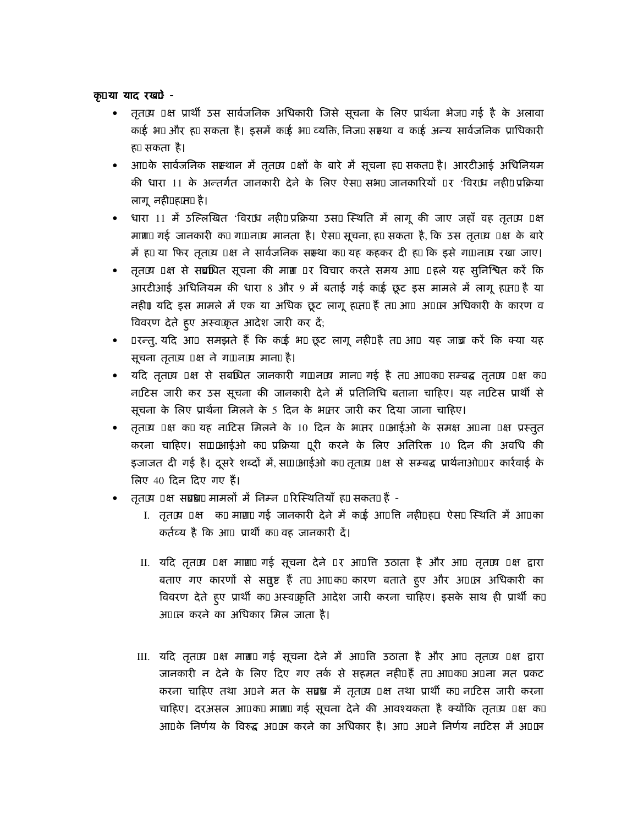क़ या याद रखे? -

- तृत2्य क्ष प्रार्थी उस सार्वजनिक अधिकारी जिसे सूचना के लिए प्रार्थना भेज2 गई है के अलावा क'ई भ2 और ह' सकता है। इसमें क'ई भ2 व्यक्ति, निज2 सम्र्था व क'ई अन्य सार्वजनिक प्राधिकारी ह' सकता है।
- ) आ के सार्वजनिक सस्थान में तृत2्य क्षों के बारे में सूचना ह' सकत2 है। आरटीआई अधिनियम की धारा 11 के अन्तर्गत जानकारी देने के लिए ऐस2 सभ2 जानकारियों र 'विर'ध नहीं प्रक्रिया लागू नही. ह'त2 है।
- धारा 11 में उल्लिखित 'विर'ध नहीं प्रक्रिया उस2 स्थिति में लागू की जाए जहाँ वह तृत2्य क्ष माग़2 गई जानकारी क' ग' न2्य मानता है। ऐस2 सूचना, ह' सकता है, कि उस तृत2्य क्ष के बारे में ह' या फिर तृत2्य क्ष ने सार्वजनिक सऱ्था क' यह कहकर दी ह' कि इसे ग' न2्य रखा जाए।
- तृत2्य क्ष से सब्रधित सूचना की माग़ र विचार करते समय आ हले यह सुनिश्चित करें कि आरटीआई अधिनियम की धारा 8 और 9 में बताई गई क'ई छूट इस मामले में लागू ह'त2 है या नहीं। यदि इस मामले में एक या अधिक छूट लागू ह'त2 हैं त' आ अ 2न अधिकारी के कारण व विवरण देते हुए अस्वक्कृत आदेश जारी कर दें;
- रन्त्, यदि आ समझते हैं कि क'ई भ2 छूट लागू नही. है त' आ यह जाच्र करें कि क्या यह सूचना तृत2्य क्ष ने ग' न2्य मान2 है।
- यदि तृत2्य क्ष से सबधित जानकारी ग' न2्य मान2 गई है त' आ क' सम्बद्ध तृत2्य क्ष क' न'टिस जारी कर उस सूचना की जानकारी देने में प्रतिनिधि बताना चाहिए। यह न'टिस प्रार्थी से सूचना के लिए प्रार्थना मिलने के 5 दिन के भ2तर जारी कर दिया जाना चाहिए।
- तृत2्य क्ष क' यह न'टिस मिलने के 10 दिन के भ2तर 2आईओ के समक्ष अ ना क्ष प्रस्तुत करना चाहिए। स2 आईओ क' प्रक्रिया ूरी करने के लिए अतिरिक्त 10 दिन की अवधि की इजाजत दी गई है। दूसरे शब्दों में, स2 आईओ क' तृत2्य क्ष से सम्बद्ध प्रार्थनाओ. र कार्रवाई के लिए 40 दिन दिए गए हैं।
- तृत2्य क्ष सब्रध2 मामलों में निम्न रिस्थितियाँ ह' सकत2 हैं -
	- I. तृत2्य क्ष क' माग़2 गई जानकारी देने में क'ई आ ति नही. ह'। ऐस2 स्थिति में आ का कर्तव्य है कि आ प्रार्थी क' वह जानकारी दें।
	- II. यदि तृत2्य क्ष माग़2 गई सूचना देने र आ ति उठाता है और आ तृत2्य क्ष द्वारा बताए गए कारणों से सतुष्ट हैं त' आ क' कारण बताते हुए और अ 2न अधिकारी का विवरण देते हुए प्रार्थी क' अस्व क्रिति आदेश जारी करना चाहिए। इसके साथ ही प्रार्थी क' अ 2न करने का अधिकार मिल जाता है।
	- III. यदि तृत2्य क्ष माग़2 गई सूचना देने में आ ति उठाता है और आ तृत2्य क्ष द्वारा जानकारी न देने के लिए दिए गए तर्क से सहमत नही. हैं त' आ क' अ ना मत प्रकट करना चाहिए तथा अ ने मत के सब्रध में तृत2्य) क्ष तथा प्रार्थी क' न'टिस जारी करना चाहिए। दरअसल आ क' माग़2 गई सूचना देने की आवश्यकता है क्योंकि तृत2्य क्ष क' आ के निर्णय के विरुद्ध अ 2व करने का अधिकार है। आ अ ने निर्णय न'टिस में अ 2व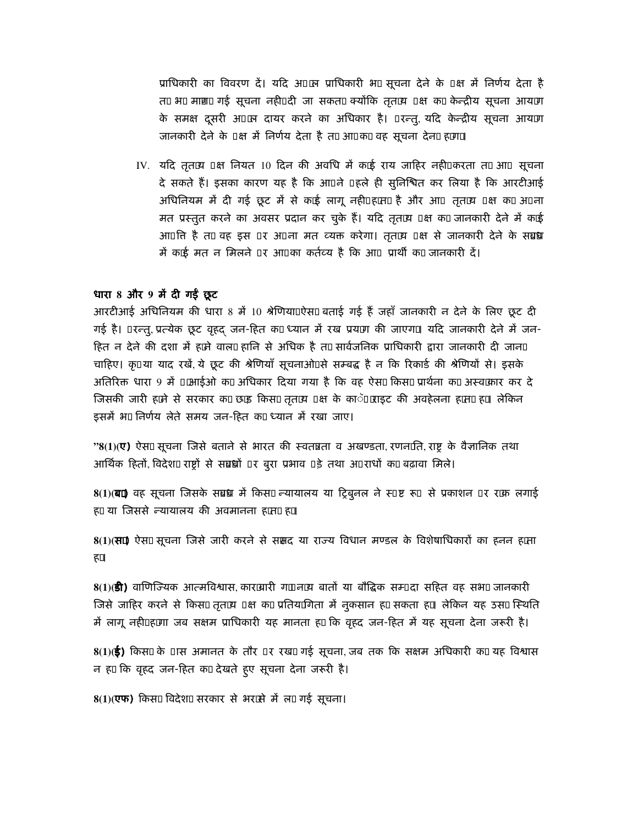प्राधिकारी का विवरण दें। यदि अ 2न प्राधिकारी भ2 सूचना देने के क्ष में निर्णय देता है त' भ2 माग़2 गई सूचना नही. दी जा सकत2 क्योंकि तृत2्य क्ष क' केन्द्रीय सूचना आय'ग के समक्ष दुसरी अ 2न दायर करने का अधिकार है। रन्तु, यदि केन्द्रीय सूचना आय'ग जानकारी देने के क्ष में निर्णय देता है त' आ क' वह सूचना देन2ह'ग2

IV. यदि तृत2्य क्ष नियत 10 दिन की अवधि में क'ई राय जाहिर नही. करता त' आ सूचना दे सकते हैं। इसका कारण यह है कि आ ने हले ही सुनिश्चित कर लिया है कि आरटीआई अधिनियम में दी गई छूट में से क'ई लागू नही. ह'त2 है और आज्ञत2य क्ष क' अना मत प्रस्तुत करने का अवसर प्रदान कर चुके हैं। यदि तृत2्य क्ष क' जानकारी देने में क'ई आ ति है त' वह इस र अ ना मत व्यक्त करेगा। तृत2्य क्ष से जानकारी देने के सब्रध में क'ई मत न मिलने र आ का कर्तव्य है कि आप्रार्थी क' जानकारी दें।

#### धारा 8 और 9 में दी गईं छूट

आरटीआई अधिनियम की धारा 8 में 10 श्रेणिया. ऐस2 बताई गई हैं जहाँ जानकारी न देने के लिए छूट दी गई है। रन्तु, प्रत्येक छूट वृहद जन-हित क' ध्यान में रख प्रय'ग की जाएग2 यदि जानकारी देने में जन-हित न देने की दशा में ह'ने वाल2हानि से अधिक है त' सार्वजनिक प्राधिकारी द्वारा जानकारी दी जान2 चाहिए। कृ या याद रखें, ये छूट की श्रेणियाँ सूचनाओं से सम्बद्ध है न कि रिकार्ड की श्रेणियों से। इसके अतिरिक्त धारा 9 में 2आईओ क' अधिकार दिया गया है कि वह ऐस2 किस2 प्रार्थना क' अस्व2कार कर दे जिसकी जारी ह'ने से सरकार क' छ'ड़ किस2तृत2्य क्ष के काॅ 2ाइट की अवहेलना ह'त2ह'। लेकिन इसमें भ2 निर्णय लेते समय जन-हित क' ध्यान में रखा जाए।

"8(1)(ए) ऐस2 सूचना जिसे बताने से भारत की स्वतन्नता व अखण्डता, रणन2ति, राष्ट्र के वैज्ञानिक तथा आर्थिक हितों, विदेश2 राष्ट्रों से सब्रधों र बुरा प्रभाव हे तथा अ राधों क' बढ़ावा मिले।

 $8(1)(\overline{a}2)$  वह सूचना जिसके सब्रध में किस2 न्यायालय या ट्रिबुनल ने स ष्ट रू से प्रकाशन र र'क लगाई ह' या जिससे न्यायालय की अवमानना ह'त2 ह'।

8(1)(स2 ऐस2 सूचना जिसे जारी करने से ससद या राज्य विधान मण्डल के विशेषाधिकारों का हनन ह'ता ह'।

8(1)(**डी)** वाणिज्यिक आत्मविश्वास, कार'बारी ग' न2्य बातों या बौद्धिक सम् दा सहित वह सभ2 जानकारी जिसे जाहिर करने से किस2 तृत2्य क्ष क' प्रतिय'गिता में नुकसान ह' सकता ह'। लेकिन यह उस2 स्थिति में लागू नही.ह'गा जब सक्षम प्राधिकारी यह मानता ह' कि वृहद जन-हित में यह सूचना देना जरूरी है।

 $8(1)($ ई) किस2 के ास अमानत के तौर ) र रख2 गई सूचना, जब तक कि सक्षम अधिकारी क' यह विश्वास न ह' कि वृहद जन-हित क' देखते हुए सूचना देना जरूरी है।

8(1)(एफ) किस2 विदेश2 सरकार से भर'से में ल2 गई सूचना।